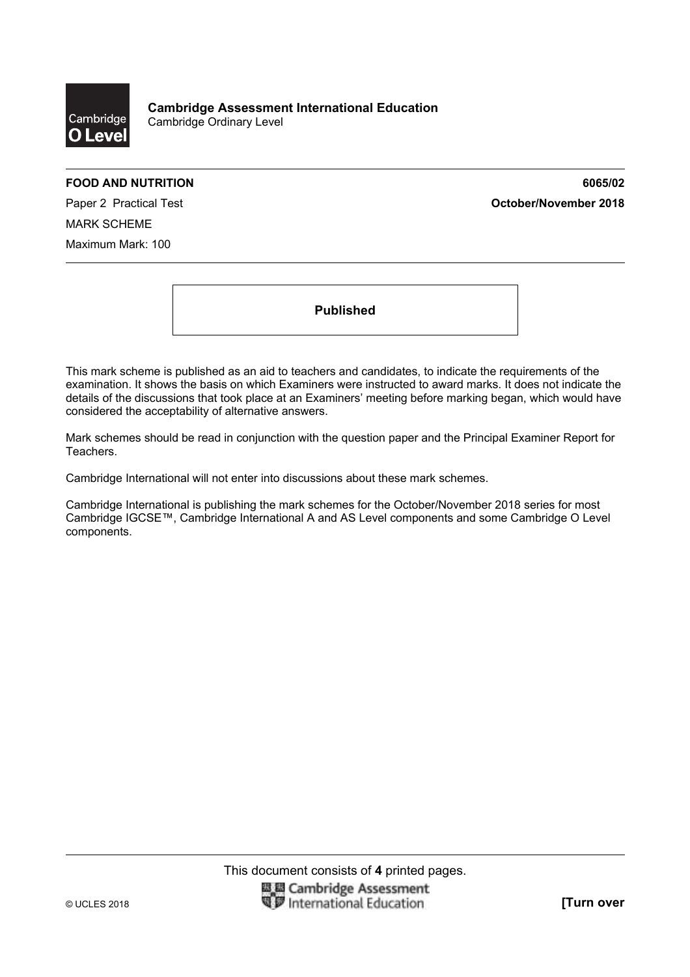

**Cambridge Assessment International Education**  Cambridge Ordinary Level

**FOOD AND NUTRITION 6065/02**  Paper 2 Practical Test **October/November 2018**

MARK SCHEME Maximum Mark: 100

**Published** 

This mark scheme is published as an aid to teachers and candidates, to indicate the requirements of the examination. It shows the basis on which Examiners were instructed to award marks. It does not indicate the details of the discussions that took place at an Examiners' meeting before marking began, which would have considered the acceptability of alternative answers.

Mark schemes should be read in conjunction with the question paper and the Principal Examiner Report for Teachers.

Cambridge International will not enter into discussions about these mark schemes.

Cambridge International is publishing the mark schemes for the October/November 2018 series for most Cambridge IGCSE™, Cambridge International A and AS Level components and some Cambridge O Level components.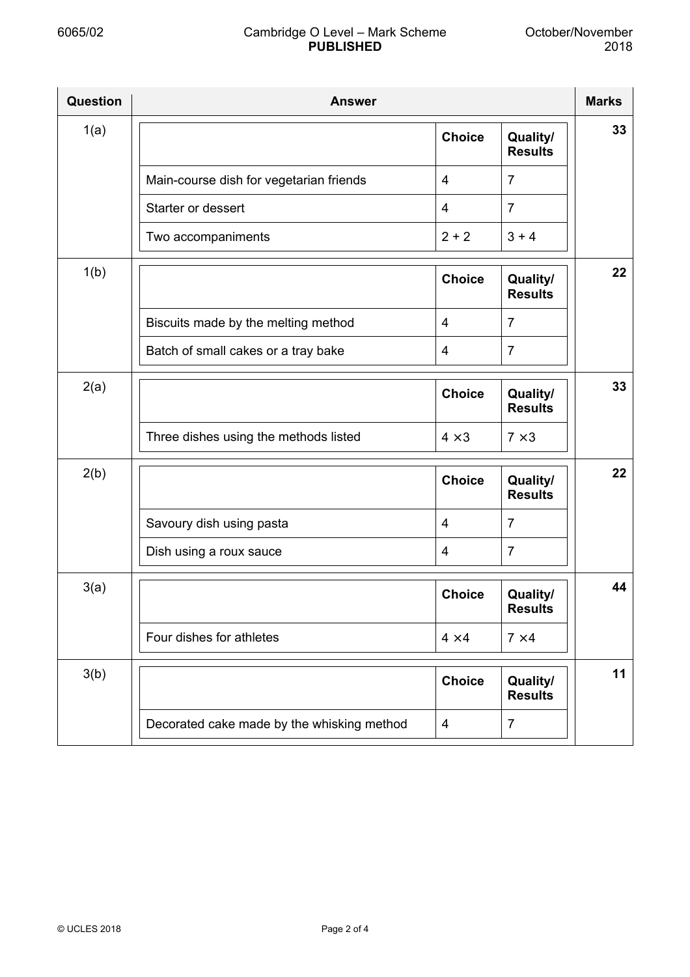| Question | <b>Answer</b>                              |                |                            | <b>Marks</b> |
|----------|--------------------------------------------|----------------|----------------------------|--------------|
| 1(a)     |                                            | <b>Choice</b>  | Quality/<br><b>Results</b> | 33           |
|          | Main-course dish for vegetarian friends    | $\overline{4}$ | $\overline{7}$             |              |
|          | Starter or dessert                         | $\overline{4}$ | $\overline{7}$             |              |
|          | Two accompaniments                         | $2 + 2$        | $3 + 4$                    |              |
| 1(b)     |                                            | <b>Choice</b>  | Quality/<br><b>Results</b> | $22 \,$      |
|          | Biscuits made by the melting method        | $\overline{4}$ | $\overline{7}$             |              |
|          | Batch of small cakes or a tray bake        | $\overline{4}$ | $\overline{7}$             |              |
| 2(a)     |                                            | <b>Choice</b>  | Quality/<br><b>Results</b> | 33           |
|          | Three dishes using the methods listed      | $4 \times 3$   | $7 \times 3$               |              |
| 2(b)     |                                            | <b>Choice</b>  | Quality/<br><b>Results</b> | 22           |
|          | Savoury dish using pasta                   | $\overline{4}$ | $\overline{7}$             |              |
|          | Dish using a roux sauce                    | $\overline{4}$ | $\overline{7}$             |              |
| 3(a)     |                                            | <b>Choice</b>  | Quality/<br><b>Results</b> | 44           |
|          | Four dishes for athletes                   | $4 \times 4$   | $7 \times 4$               |              |
| 3(b)     |                                            | <b>Choice</b>  | Quality/<br><b>Results</b> | 11           |
|          | Decorated cake made by the whisking method | 4              | $\overline{7}$             |              |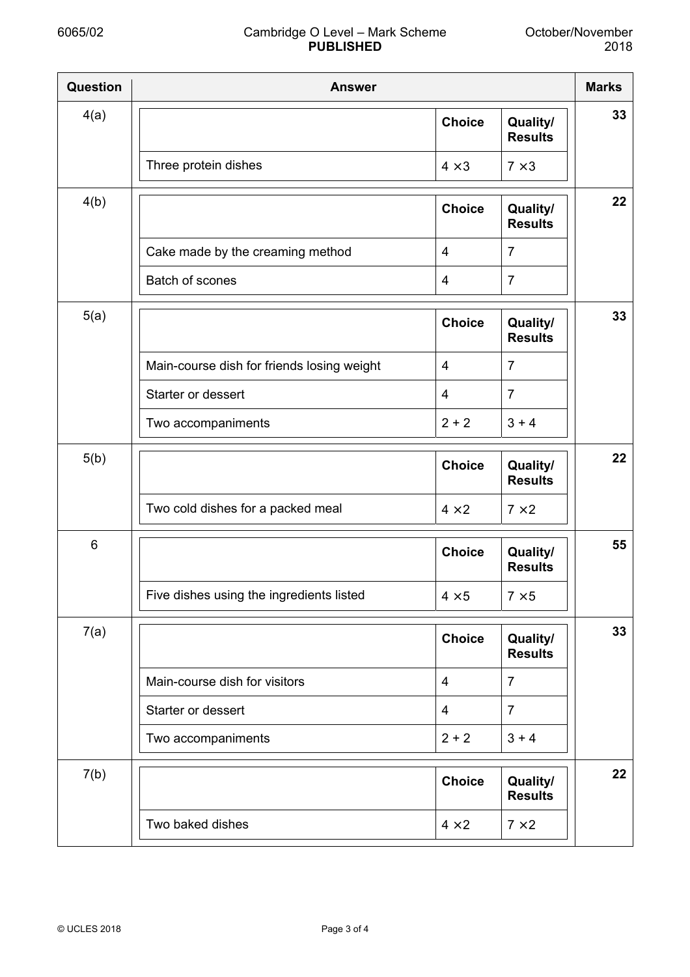| <b>Question</b> | <b>Answer</b>                              |                |                            | <b>Marks</b> |
|-----------------|--------------------------------------------|----------------|----------------------------|--------------|
| 4(a)            |                                            | <b>Choice</b>  | Quality/<br><b>Results</b> | 33           |
|                 | Three protein dishes                       | $4 \times 3$   | $7 \times 3$               |              |
| 4(b)            |                                            | <b>Choice</b>  | Quality/<br><b>Results</b> | 22           |
|                 | Cake made by the creaming method           | 4              | $\overline{7}$             |              |
|                 | Batch of scones                            | 4              | $\overline{7}$             |              |
| 5(a)            |                                            | <b>Choice</b>  | Quality/<br><b>Results</b> | 33           |
|                 | Main-course dish for friends losing weight | 4              | $\overline{7}$             |              |
|                 | Starter or dessert                         | $\overline{4}$ | $\overline{7}$             |              |
|                 | Two accompaniments                         | $2 + 2$        | $3 + 4$                    |              |
| 5(b)            |                                            | <b>Choice</b>  | Quality/<br><b>Results</b> | 22           |
|                 | Two cold dishes for a packed meal          | $4 \times 2$   | $7 \times 2$               |              |
| 6               |                                            | <b>Choice</b>  | Quality/<br><b>Results</b> | 55           |
|                 | Five dishes using the ingredients listed   | $4 \times 5$   | $7 \times 5$               |              |
| 7(a)            |                                            | <b>Choice</b>  | Quality/<br><b>Results</b> | 33           |
|                 | Main-course dish for visitors              | 4              | $\overline{7}$             |              |
|                 | Starter or dessert                         | 4              | $\overline{7}$             |              |
|                 | Two accompaniments                         | $2 + 2$        | $3 + 4$                    |              |
| 7(b)            |                                            | <b>Choice</b>  | Quality/<br><b>Results</b> | 22           |
|                 | Two baked dishes                           | $4 \times 2$   | $7 \times 2$               |              |